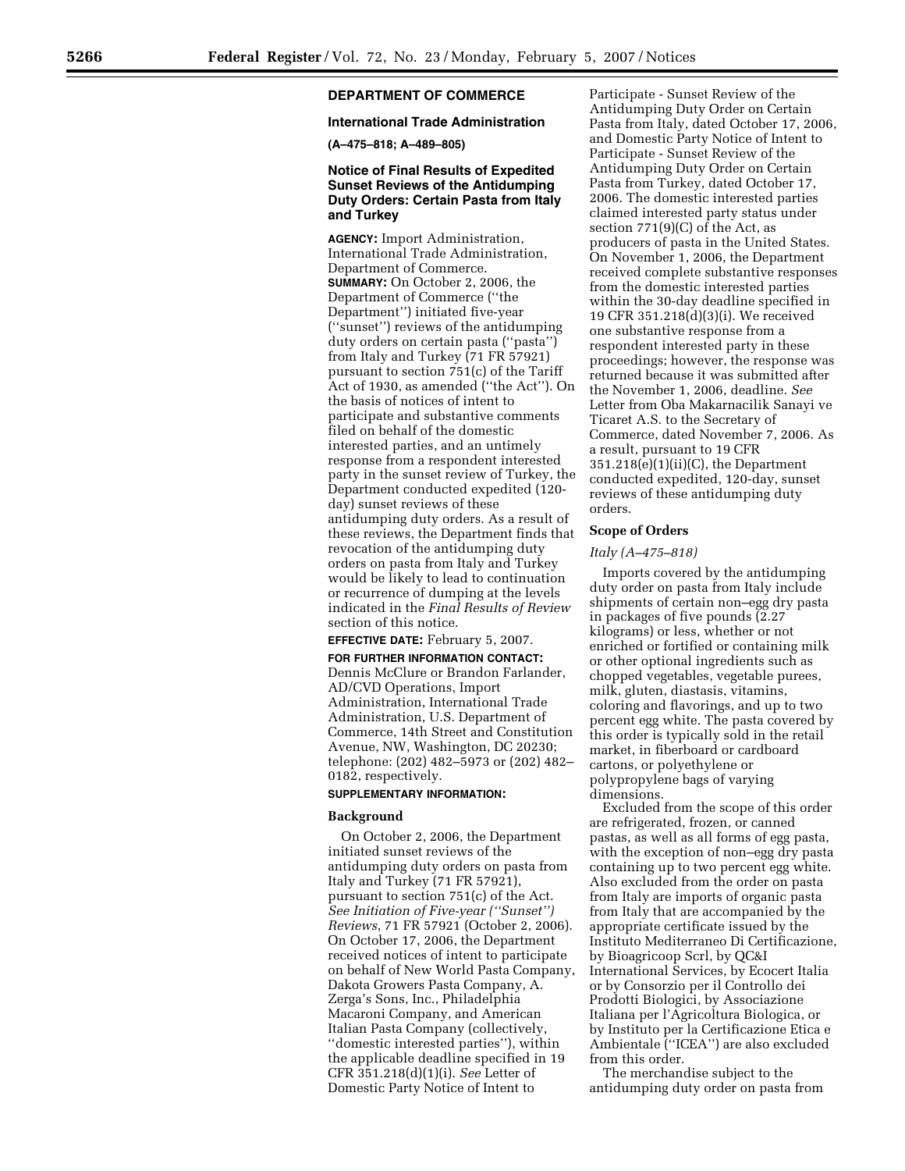# **DEPARTMENT OF COMMERCE**

## **International Trade Administration**

**(A–475–818; A–489–805)** 

## **Notice of Final Results of Expedited Sunset Reviews of the Antidumping Duty Orders: Certain Pasta from Italy and Turkey**

**AGENCY:** Import Administration, International Trade Administration, Department of Commerce. **SUMMARY:** On October 2, 2006, the Department of Commerce (''the Department'') initiated five-year (''sunset'') reviews of the antidumping duty orders on certain pasta (''pasta'') from Italy and Turkey (71 FR 57921) pursuant to section 751(c) of the Tariff Act of 1930, as amended (''the Act''). On the basis of notices of intent to participate and substantive comments filed on behalf of the domestic interested parties, and an untimely response from a respondent interested party in the sunset review of Turkey, the Department conducted expedited (120 day) sunset reviews of these antidumping duty orders. As a result of these reviews, the Department finds that revocation of the antidumping duty orders on pasta from Italy and Turkey would be likely to lead to continuation or recurrence of dumping at the levels indicated in the *Final Results of Review*  section of this notice.

#### **EFFECTIVE DATE:** February 5, 2007.

#### **FOR FURTHER INFORMATION CONTACT:**

Dennis McClure or Brandon Farlander, AD/CVD Operations, Import Administration, International Trade Administration, U.S. Department of Commerce, 14th Street and Constitution Avenue, NW, Washington, DC 20230; telephone: (202) 482–5973 or (202) 482– 0182, respectively.

#### **SUPPLEMENTARY INFORMATION:**

#### **Background**

On October 2, 2006, the Department initiated sunset reviews of the antidumping duty orders on pasta from Italy and Turkey (71 FR 57921), pursuant to section 751(c) of the Act. *See Initiation of Five-year (''Sunset'') Reviews*, 71 FR 57921 (October 2, 2006). On October 17, 2006, the Department received notices of intent to participate on behalf of New World Pasta Company, Dakota Growers Pasta Company, A. Zerga's Sons, Inc., Philadelphia Macaroni Company, and American Italian Pasta Company (collectively, ''domestic interested parties''), within the applicable deadline specified in 19 CFR 351.218(d)(1)(i). *See* Letter of Domestic Party Notice of Intent to

Participate - Sunset Review of the Antidumping Duty Order on Certain Pasta from Italy, dated October 17, 2006, and Domestic Party Notice of Intent to Participate - Sunset Review of the Antidumping Duty Order on Certain Pasta from Turkey, dated October 17, 2006. The domestic interested parties claimed interested party status under section 771(9)(C) of the Act, as producers of pasta in the United States. On November 1, 2006, the Department received complete substantive responses from the domestic interested parties within the 30-day deadline specified in 19 CFR 351.218(d)(3)(i). We received one substantive response from a respondent interested party in these proceedings; however, the response was returned because it was submitted after the November 1, 2006, deadline. *See*  Letter from Oba Makarnacilik Sanayi ve Ticaret A.S. to the Secretary of Commerce, dated November 7, 2006. As a result, pursuant to 19 CFR  $351.218(e)(1)(ii)(C)$ , the Department conducted expedited, 120-day, sunset reviews of these antidumping duty orders.

#### **Scope of Orders**

#### *Italy (A–475–818)*

Imports covered by the antidumping duty order on pasta from Italy include shipments of certain non–egg dry pasta in packages of five pounds (2.27 kilograms) or less, whether or not enriched or fortified or containing milk or other optional ingredients such as chopped vegetables, vegetable purees, milk, gluten, diastasis, vitamins, coloring and flavorings, and up to two percent egg white. The pasta covered by this order is typically sold in the retail market, in fiberboard or cardboard cartons, or polyethylene or polypropylene bags of varying dimensions.

Excluded from the scope of this order are refrigerated, frozen, or canned pastas, as well as all forms of egg pasta, with the exception of non–egg dry pasta containing up to two percent egg white. Also excluded from the order on pasta from Italy are imports of organic pasta from Italy that are accompanied by the appropriate certificate issued by the Instituto Mediterraneo Di Certificazione, by Bioagricoop Scrl, by QC&I International Services, by Ecocert Italia or by Consorzio per il Controllo dei Prodotti Biologici, by Associazione Italiana per l'Agricoltura Biologica, or by Instituto per la Certificazione Etica e Ambientale (''ICEA'') are also excluded from this order.

The merchandise subject to the antidumping duty order on pasta from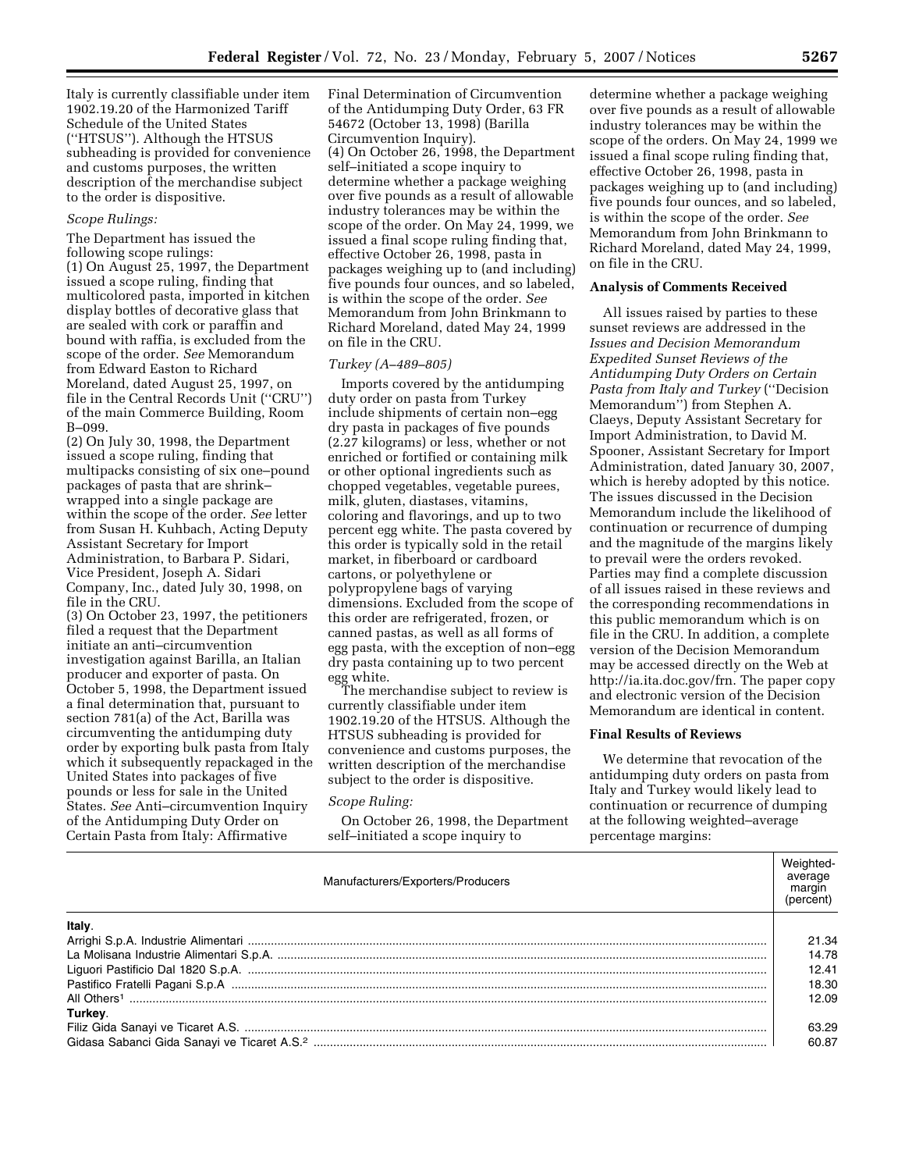Italy is currently classifiable under item 1902.19.20 of the Harmonized Tariff Schedule of the United States (''HTSUS''). Although the HTSUS subheading is provided for convenience and customs purposes, the written description of the merchandise subject to the order is dispositive.

#### *Scope Rulings:*

The Department has issued the following scope rulings:

(1) On August 25, 1997, the Department issued a scope ruling, finding that multicolored pasta, imported in kitchen display bottles of decorative glass that are sealed with cork or paraffin and bound with raffia, is excluded from the scope of the order. *See* Memorandum from Edward Easton to Richard Moreland, dated August 25, 1997, on file in the Central Records Unit (''CRU'') of the main Commerce Building, Room B–099.

(2) On July 30, 1998, the Department issued a scope ruling, finding that multipacks consisting of six one–pound packages of pasta that are shrink– wrapped into a single package are within the scope of the order. *See* letter from Susan H. Kuhbach, Acting Deputy Assistant Secretary for Import Administration, to Barbara P. Sidari, Vice President, Joseph A. Sidari Company, Inc., dated July 30, 1998, on file in the CRU.

(3) On October 23, 1997, the petitioners filed a request that the Department initiate an anti–circumvention investigation against Barilla, an Italian producer and exporter of pasta. On October 5, 1998, the Department issued a final determination that, pursuant to section 781(a) of the Act, Barilla was circumventing the antidumping duty order by exporting bulk pasta from Italy which it subsequently repackaged in the United States into packages of five pounds or less for sale in the United States. *See* Anti–circumvention Inquiry of the Antidumping Duty Order on Certain Pasta from Italy: Affirmative

Final Determination of Circumvention of the Antidumping Duty Order, 63 FR 54672 (October 13, 1998) (Barilla Circumvention Inquiry). (4) On October 26, 1998, the Department self–initiated a scope inquiry to determine whether a package weighing over five pounds as a result of allowable industry tolerances may be within the scope of the order. On May 24, 1999, we issued a final scope ruling finding that, effective October 26, 1998, pasta in packages weighing up to (and including) five pounds four ounces, and so labeled, is within the scope of the order. *See*  Memorandum from John Brinkmann to Richard Moreland, dated May 24, 1999 on file in the CRU.

#### *Turkey (A–489–805)*

Imports covered by the antidumping duty order on pasta from Turkey include shipments of certain non–egg dry pasta in packages of five pounds (2.27 kilograms) or less, whether or not enriched or fortified or containing milk or other optional ingredients such as chopped vegetables, vegetable purees, milk, gluten, diastases, vitamins, coloring and flavorings, and up to two percent egg white. The pasta covered by this order is typically sold in the retail market, in fiberboard or cardboard cartons, or polyethylene or polypropylene bags of varying dimensions. Excluded from the scope of this order are refrigerated, frozen, or canned pastas, as well as all forms of egg pasta, with the exception of non–egg dry pasta containing up to two percent egg white.

The merchandise subject to review is currently classifiable under item 1902.19.20 of the HTSUS. Although the HTSUS subheading is provided for convenience and customs purposes, the written description of the merchandise subject to the order is dispositive.

## *Scope Ruling:*

On October 26, 1998, the Department self–initiated a scope inquiry to

determine whether a package weighing over five pounds as a result of allowable industry tolerances may be within the scope of the orders. On May 24, 1999 we issued a final scope ruling finding that, effective October 26, 1998, pasta in packages weighing up to (and including) five pounds four ounces, and so labeled, is within the scope of the order. *See*  Memorandum from John Brinkmann to Richard Moreland, dated May 24, 1999, on file in the CRU.

#### **Analysis of Comments Received**

All issues raised by parties to these sunset reviews are addressed in the *Issues and Decision Memorandum Expedited Sunset Reviews of the Antidumping Duty Orders on Certain Pasta from Italy and Turkey* (''Decision Memorandum'') from Stephen A. Claeys, Deputy Assistant Secretary for Import Administration, to David M. Spooner, Assistant Secretary for Import Administration, dated January 30, 2007, which is hereby adopted by this notice. The issues discussed in the Decision Memorandum include the likelihood of continuation or recurrence of dumping and the magnitude of the margins likely to prevail were the orders revoked. Parties may find a complete discussion of all issues raised in these reviews and the corresponding recommendations in this public memorandum which is on file in the CRU. In addition, a complete version of the Decision Memorandum may be accessed directly on the Web at http://ia.ita.doc.gov/frn. The paper copy and electronic version of the Decision Memorandum are identical in content.

# **Final Results of Reviews**

We determine that revocation of the antidumping duty orders on pasta from Italy and Turkey would likely lead to continuation or recurrence of dumping at the following weighted–average percentage margins:

| Manufacturers/Exporters/Producers | Weighted-<br>average<br>margin<br>(percent) |
|-----------------------------------|---------------------------------------------|
| <b>Italy</b>                      |                                             |
|                                   | 21.34                                       |
|                                   | 14.78                                       |
|                                   | 12.41                                       |
|                                   | 18.30                                       |
|                                   | 12.09                                       |
| Turkey.                           |                                             |
|                                   | 63.29                                       |
|                                   | 60.87                                       |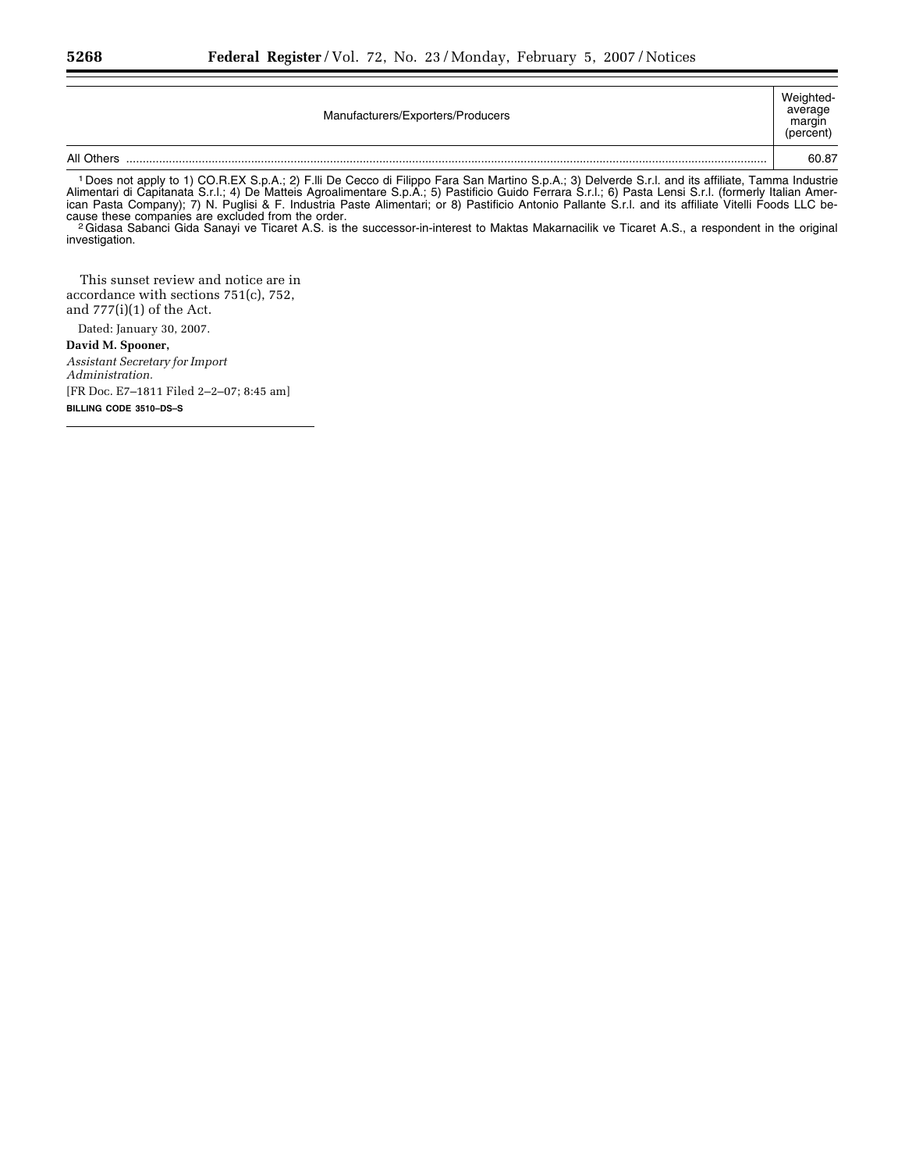| Manufacturers/Exporters/Producers | Weighted-<br>average<br>margin<br>(percent) |
|-----------------------------------|---------------------------------------------|
| All Others                        | 60.87                                       |

1 Does not apply to 1) CO.R.EX S.p.A.; 2) F.lli De Cecco di Filippo Fara San Martino S.p.A.; 3) Delverde S.r.l. and its affiliate, Tamma Industrie Alimentari di Capitanata S.r.l.; 4) De Matteis Agroalimentare S.p.A.; 5) Pastificio Guido Ferrara S.r.l.; 6) Pasta Lensi S.r.l. (formerly Italian American Pasta Company); 7) N. Puglisi & F. Industria Paste Alimentari; or 8) Pastificio Antonio Pallante S.r.l. and its affiliate Vitelli Foods LLC because these companies are excluded from the order.<br><sup>2</sup>Gidasa Sabanci Gida Sanayi ve Ticaret A.S. is the successor-in-interest to Maktas Makarnacilik ve Ticaret A.S., a respondent in the original

investigation.

This sunset review and notice are in accordance with sections 751(c), 752, and 777(i)(1) of the Act.

Dated: January 30, 2007. **David M. Spooner,**  *Assistant Secretary for Import Administration.*  [FR Doc. E7–1811 Filed 2–2–07; 8:45 am] **BILLING CODE 3510–DS–S**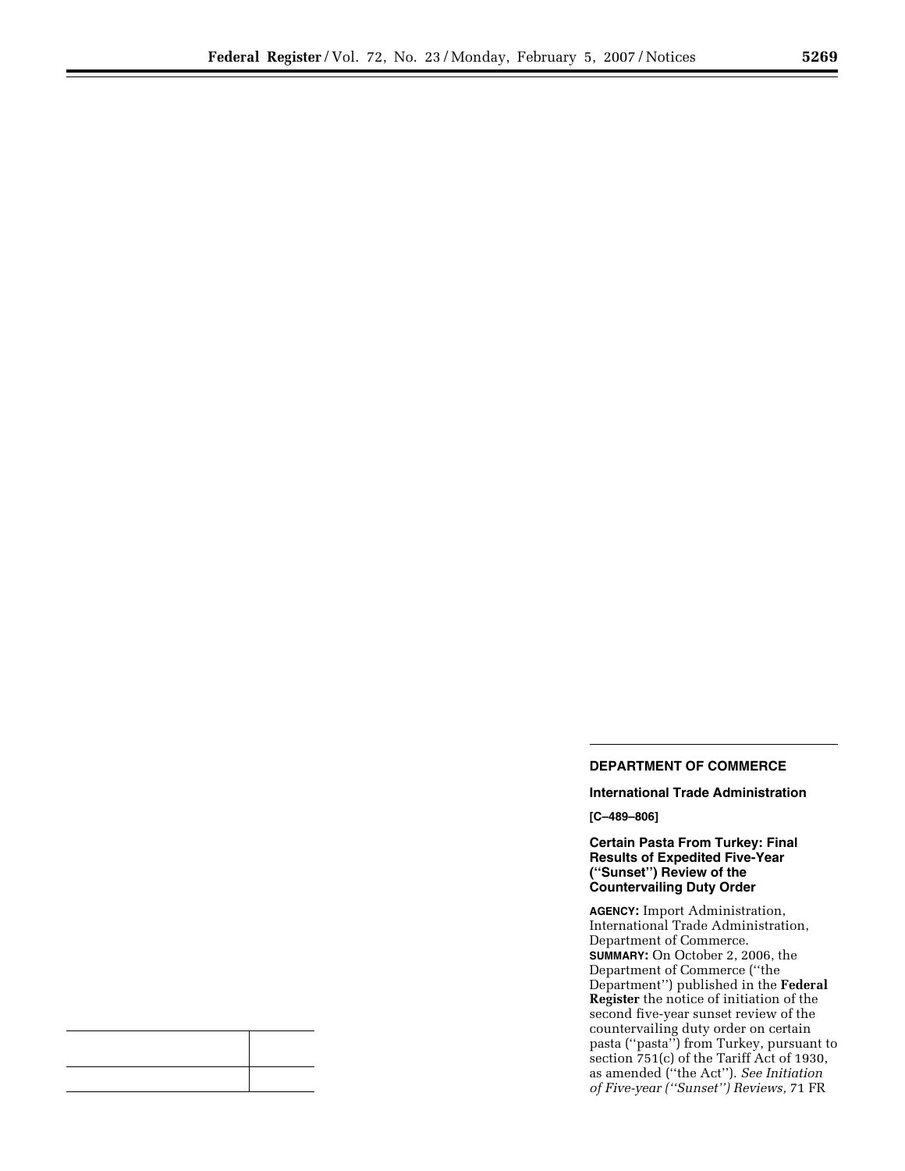٠

# **DEPARTMENT OF COMMERCE**

**International Trade Administration** 

**[C–489–806]** 

**Certain Pasta From Turkey: Final Results of Expedited Five-Year (''Sunset'') Review of the Countervailing Duty Order** 

**AGENCY:** Import Administration, International Trade Administration, Department of Commerce. **SUMMARY:** On October 2, 2006, the Department of Commerce (''the Department'') published in the **Federal Register** the notice of initiation of the second five-year sunset review of the countervailing duty order on certain pasta (''pasta'') from Turkey, pursuant to section 751(c) of the Tariff Act of 1930, as amended (''the Act''). *See Initiation of Five-year (''Sunset'') Reviews,* 71 FR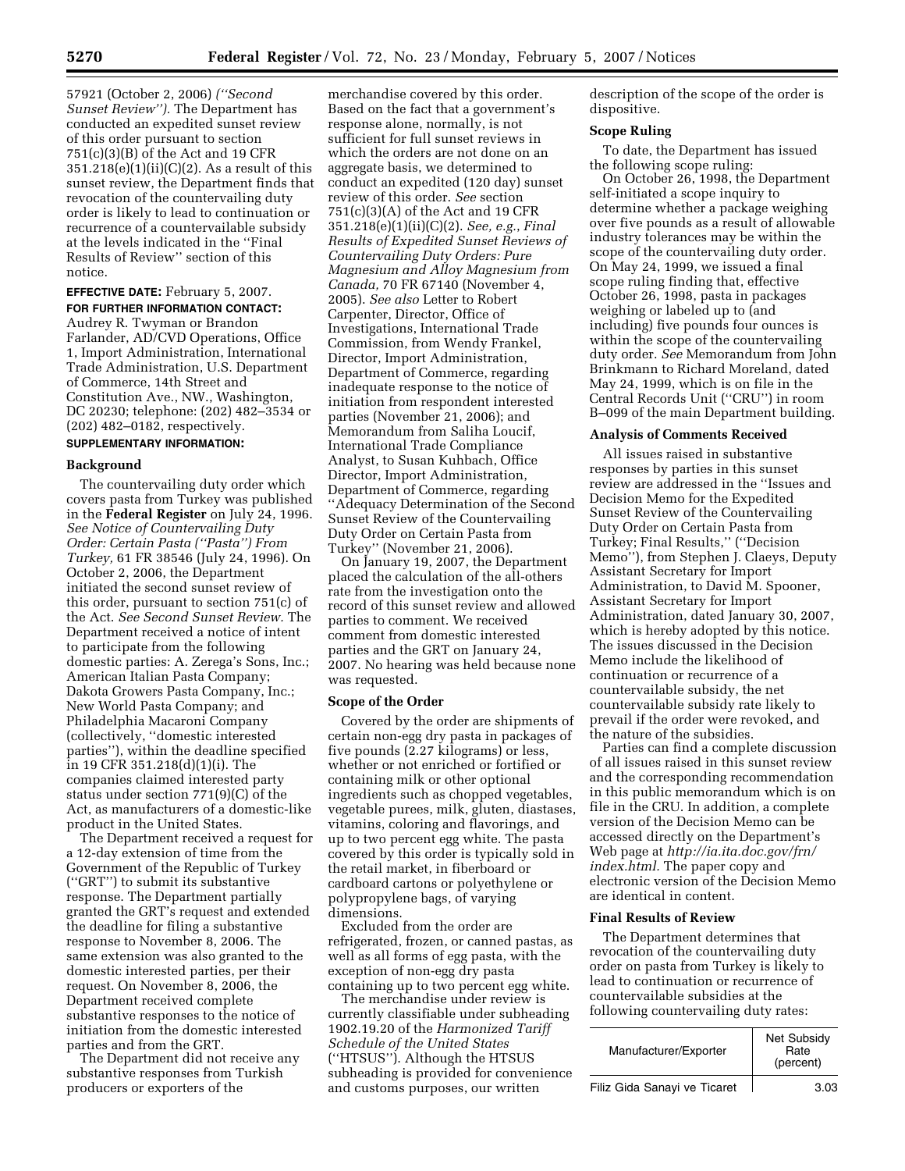57921 (October 2, 2006) *(''Second Sunset Review'').* The Department has conducted an expedited sunset review of this order pursuant to section 751(c)(3)(B) of the Act and 19 CFR  $351.218(e)(1)(ii)(C)(2)$ . As a result of this sunset review, the Department finds that revocation of the countervailing duty order is likely to lead to continuation or recurrence of a countervailable subsidy at the levels indicated in the ''Final Results of Review'' section of this notice.

**EFFECTIVE DATE:** February 5, 2007. **FOR FURTHER INFORMATION CONTACT:**  Audrey R. Twyman or Brandon Farlander, AD/CVD Operations, Office 1, Import Administration, International Trade Administration, U.S. Department of Commerce, 14th Street and Constitution Ave., NW., Washington, DC 20230; telephone: (202) 482–3534 or (202) 482–0182, respectively. **SUPPLEMENTARY INFORMATION:** 

## **Background**

The countervailing duty order which covers pasta from Turkey was published in the **Federal Register** on July 24, 1996. *See Notice of Countervailing Duty Order: Certain Pasta (''Pasta'') From Turkey,* 61 FR 38546 (July 24, 1996). On October 2, 2006, the Department initiated the second sunset review of this order, pursuant to section 751(c) of the Act. *See Second Sunset Review.* The Department received a notice of intent to participate from the following domestic parties: A. Zerega's Sons, Inc.; American Italian Pasta Company; Dakota Growers Pasta Company, Inc.; New World Pasta Company; and Philadelphia Macaroni Company (collectively, ''domestic interested parties''), within the deadline specified in 19 CFR 351.218(d)(1)(i). The companies claimed interested party status under section 771(9)(C) of the Act, as manufacturers of a domestic-like product in the United States.

The Department received a request for a 12-day extension of time from the Government of the Republic of Turkey (''GRT'') to submit its substantive response. The Department partially granted the GRT's request and extended the deadline for filing a substantive response to November 8, 2006. The same extension was also granted to the domestic interested parties, per their request. On November 8, 2006, the Department received complete substantive responses to the notice of initiation from the domestic interested parties and from the GRT.

The Department did not receive any substantive responses from Turkish producers or exporters of the

merchandise covered by this order. Based on the fact that a government's response alone, normally, is not sufficient for full sunset reviews in which the orders are not done on an aggregate basis, we determined to conduct an expedited (120 day) sunset review of this order. *See* section 751(c)(3)(A) of the Act and 19 CFR 351.218(e)(1)(ii)(C)(2). *See, e.g.*, *Final Results of Expedited Sunset Reviews of Countervailing Duty Orders: Pure Magnesium and Alloy Magnesium from Canada,* 70 FR 67140 (November 4, 2005). *See also* Letter to Robert Carpenter, Director, Office of Investigations, International Trade Commission, from Wendy Frankel, Director, Import Administration, Department of Commerce, regarding inadequate response to the notice of initiation from respondent interested parties (November 21, 2006); and Memorandum from Saliha Loucif, International Trade Compliance Analyst, to Susan Kuhbach, Office Director, Import Administration, Department of Commerce, regarding ''Adequacy Determination of the Second Sunset Review of the Countervailing Duty Order on Certain Pasta from Turkey'' (November 21, 2006).

On January 19, 2007, the Department placed the calculation of the all-others rate from the investigation onto the record of this sunset review and allowed parties to comment. We received comment from domestic interested parties and the GRT on January 24, 2007. No hearing was held because none was requested.

#### **Scope of the Order**

Covered by the order are shipments of certain non-egg dry pasta in packages of five pounds  $(2.27 \text{ kilograms})$  or less, whether or not enriched or fortified or containing milk or other optional ingredients such as chopped vegetables, vegetable purees, milk, gluten, diastases, vitamins, coloring and flavorings, and up to two percent egg white. The pasta covered by this order is typically sold in the retail market, in fiberboard or cardboard cartons or polyethylene or polypropylene bags, of varying dimensions.

Excluded from the order are refrigerated, frozen, or canned pastas, as well as all forms of egg pasta, with the exception of non-egg dry pasta containing up to two percent egg white.

The merchandise under review is currently classifiable under subheading 1902.19.20 of the *Harmonized Tariff Schedule of the United States*  (''HTSUS''). Although the HTSUS subheading is provided for convenience and customs purposes, our written

description of the scope of the order is dispositive.

## **Scope Ruling**

To date, the Department has issued the following scope ruling:

On October 26, 1998, the Department self-initiated a scope inquiry to determine whether a package weighing over five pounds as a result of allowable industry tolerances may be within the scope of the countervailing duty order. On May 24, 1999, we issued a final scope ruling finding that, effective October 26, 1998, pasta in packages weighing or labeled up to (and including) five pounds four ounces is within the scope of the countervailing duty order. *See* Memorandum from John Brinkmann to Richard Moreland, dated May 24, 1999, which is on file in the Central Records Unit (''CRU'') in room B–099 of the main Department building.

## **Analysis of Comments Received**

All issues raised in substantive responses by parties in this sunset review are addressed in the ''Issues and Decision Memo for the Expedited Sunset Review of the Countervailing Duty Order on Certain Pasta from Turkey; Final Results,'' (''Decision Memo''), from Stephen J. Claeys, Deputy Assistant Secretary for Import Administration, to David M. Spooner, Assistant Secretary for Import Administration, dated January 30, 2007, which is hereby adopted by this notice. The issues discussed in the Decision Memo include the likelihood of continuation or recurrence of a countervailable subsidy, the net countervailable subsidy rate likely to prevail if the order were revoked, and the nature of the subsidies.

Parties can find a complete discussion of all issues raised in this sunset review and the corresponding recommendation in this public memorandum which is on file in the CRU. In addition, a complete version of the Decision Memo can be accessed directly on the Department's Web page at *http://ia.ita.doc.gov/frn/ index.html.* The paper copy and electronic version of the Decision Memo are identical in content.

## **Final Results of Review**

The Department determines that revocation of the countervailing duty order on pasta from Turkey is likely to lead to continuation or recurrence of countervailable subsidies at the following countervailing duty rates:

| Manufacturer/Exporter        | Net Subsidy<br>Rate<br>(percent) |
|------------------------------|----------------------------------|
| Filiz Gida Sanayi ve Ticaret | 3.03                             |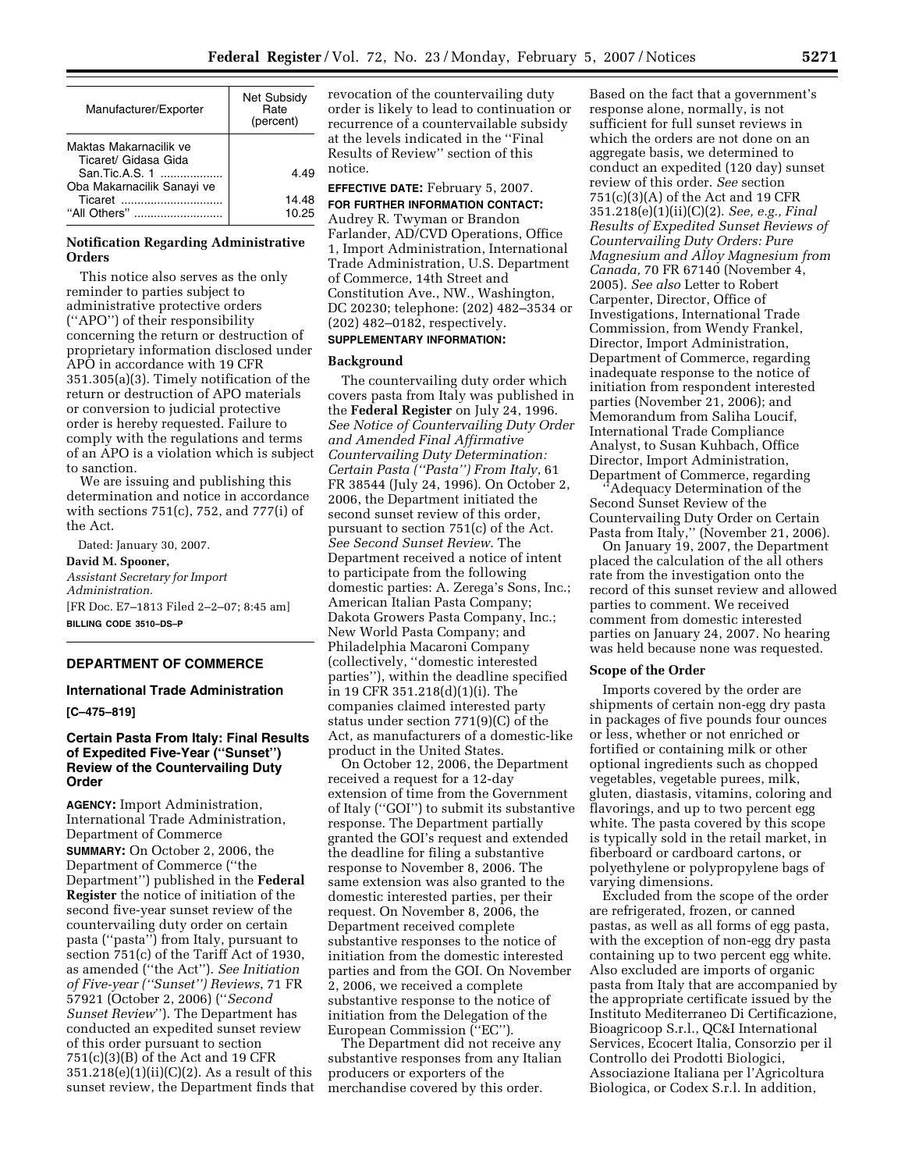| Manufacturer/Exporter                          | Net Subsidy<br>Rate<br>(percent) |
|------------------------------------------------|----------------------------------|
| Maktas Makarnacilik ve<br>Ticaret/ Gidasa Gida |                                  |
| San.Tic.A.S. 1<br>Oba Makarnacilik Sanayi ve   | 4.49                             |
| "All Others"                                   | 14.48<br>10 25                   |

## **Notification Regarding Administrative Orders**

This notice also serves as the only reminder to parties subject to administrative protective orders (''APO'') of their responsibility concerning the return or destruction of proprietary information disclosed under APO in accordance with 19 CFR 351.305(a)(3). Timely notification of the return or destruction of APO materials or conversion to judicial protective order is hereby requested. Failure to comply with the regulations and terms of an APO is a violation which is subject to sanction.

We are issuing and publishing this determination and notice in accordance with sections 751(c), 752, and 777(i) of the Act.

Dated: January 30, 2007. **David M. Spooner,**  *Assistant Secretary for Import Administration.*  [FR Doc. E7–1813 Filed 2–2–07; 8:45 am] **BILLING CODE 3510–DS–P** 

## **DEPARTMENT OF COMMERCE**

# **International Trade Administration**

**[C–475–819]** 

# **Certain Pasta From Italy: Final Results of Expedited Five-Year (''Sunset'') Review of the Countervailing Duty Order**

**AGENCY:** Import Administration, International Trade Administration, Department of Commerce **SUMMARY:** On October 2, 2006, the Department of Commerce (''the Department'') published in the **Federal Register** the notice of initiation of the second five-year sunset review of the countervailing duty order on certain pasta (''pasta'') from Italy, pursuant to section 751(c) of the Tariff Act of 1930, as amended (''the Act''). *See Initiation of Five-year (''Sunset'') Reviews*, 71 FR 57921 (October 2, 2006) (''*Second Sunset Review*''). The Department has conducted an expedited sunset review of this order pursuant to section 751(c)(3)(B) of the Act and 19 CFR  $351.218(e)(1)(ii)(C)(2)$ . As a result of this sunset review, the Department finds that revocation of the countervailing duty order is likely to lead to continuation or recurrence of a countervailable subsidy at the levels indicated in the ''Final Results of Review'' section of this notice.

**EFFECTIVE DATE:** February 5, 2007. **FOR FURTHER INFORMATION CONTACT:**  Audrey R. Twyman or Brandon Farlander, AD/CVD Operations, Office 1, Import Administration, International Trade Administration, U.S. Department of Commerce, 14th Street and Constitution Ave., NW., Washington, DC 20230; telephone: (202) 482–3534 or (202) 482–0182, respectively.

# **SUPPLEMENTARY INFORMATION:**

#### **Background**

The countervailing duty order which covers pasta from Italy was published in the **Federal Register** on July 24, 1996. *See Notice of Countervailing Duty Order and Amended Final Affirmative Countervailing Duty Determination: Certain Pasta (''Pasta'') From Italy*, 61 FR 38544 (July 24, 1996). On October 2, 2006, the Department initiated the second sunset review of this order, pursuant to section 751(c) of the Act. *See Second Sunset Review*. The Department received a notice of intent to participate from the following domestic parties: A. Zerega's Sons, Inc.; American Italian Pasta Company; Dakota Growers Pasta Company, Inc.; New World Pasta Company; and Philadelphia Macaroni Company (collectively, ''domestic interested parties''), within the deadline specified in 19 CFR 351.218(d)(1)(i). The companies claimed interested party status under section 771(9)(C) of the Act, as manufacturers of a domestic-like product in the United States.

On October 12, 2006, the Department received a request for a 12-day extension of time from the Government of Italy (''GOI'') to submit its substantive response. The Department partially granted the GOI's request and extended the deadline for filing a substantive response to November 8, 2006. The same extension was also granted to the domestic interested parties, per their request. On November 8, 2006, the Department received complete substantive responses to the notice of initiation from the domestic interested parties and from the GOI. On November 2, 2006, we received a complete substantive response to the notice of initiation from the Delegation of the European Commission (''EC'').

The Department did not receive any substantive responses from any Italian producers or exporters of the merchandise covered by this order.

Based on the fact that a government's response alone, normally, is not sufficient for full sunset reviews in which the orders are not done on an aggregate basis, we determined to conduct an expedited (120 day) sunset review of this order. *See* section 751(c)(3)(A) of the Act and 19 CFR 351.218(e)(1)(ii)(C)(2). *See, e.g., Final Results of Expedited Sunset Reviews of Countervailing Duty Orders: Pure Magnesium and Alloy Magnesium from Canada,* 70 FR 67140 (November 4, 2005). *See also* Letter to Robert Carpenter, Director, Office of Investigations, International Trade Commission, from Wendy Frankel, Director, Import Administration, Department of Commerce, regarding inadequate response to the notice of initiation from respondent interested parties (November 21, 2006); and Memorandum from Saliha Loucif, International Trade Compliance Analyst, to Susan Kuhbach, Office Director, Import Administration, Department of Commerce, regarding

'Adequacy Determination of the Second Sunset Review of the Countervailing Duty Order on Certain Pasta from Italy,'' (November 21, 2006).

On January 19, 2007, the Department placed the calculation of the all others rate from the investigation onto the record of this sunset review and allowed parties to comment. We received comment from domestic interested parties on January 24, 2007. No hearing was held because none was requested.

#### **Scope of the Order**

Imports covered by the order are shipments of certain non-egg dry pasta in packages of five pounds four ounces or less, whether or not enriched or fortified or containing milk or other optional ingredients such as chopped vegetables, vegetable purees, milk, gluten, diastasis, vitamins, coloring and flavorings, and up to two percent egg white. The pasta covered by this scope is typically sold in the retail market, in fiberboard or cardboard cartons, or polyethylene or polypropylene bags of varying dimensions.

Excluded from the scope of the order are refrigerated, frozen, or canned pastas, as well as all forms of egg pasta, with the exception of non-egg dry pasta containing up to two percent egg white. Also excluded are imports of organic pasta from Italy that are accompanied by the appropriate certificate issued by the Instituto Mediterraneo Di Certificazione, Bioagricoop S.r.l., QC&I International Services, Ecocert Italia, Consorzio per il Controllo dei Prodotti Biologici, Associazione Italiana per l'Agricoltura Biologica, or Codex S.r.l. In addition,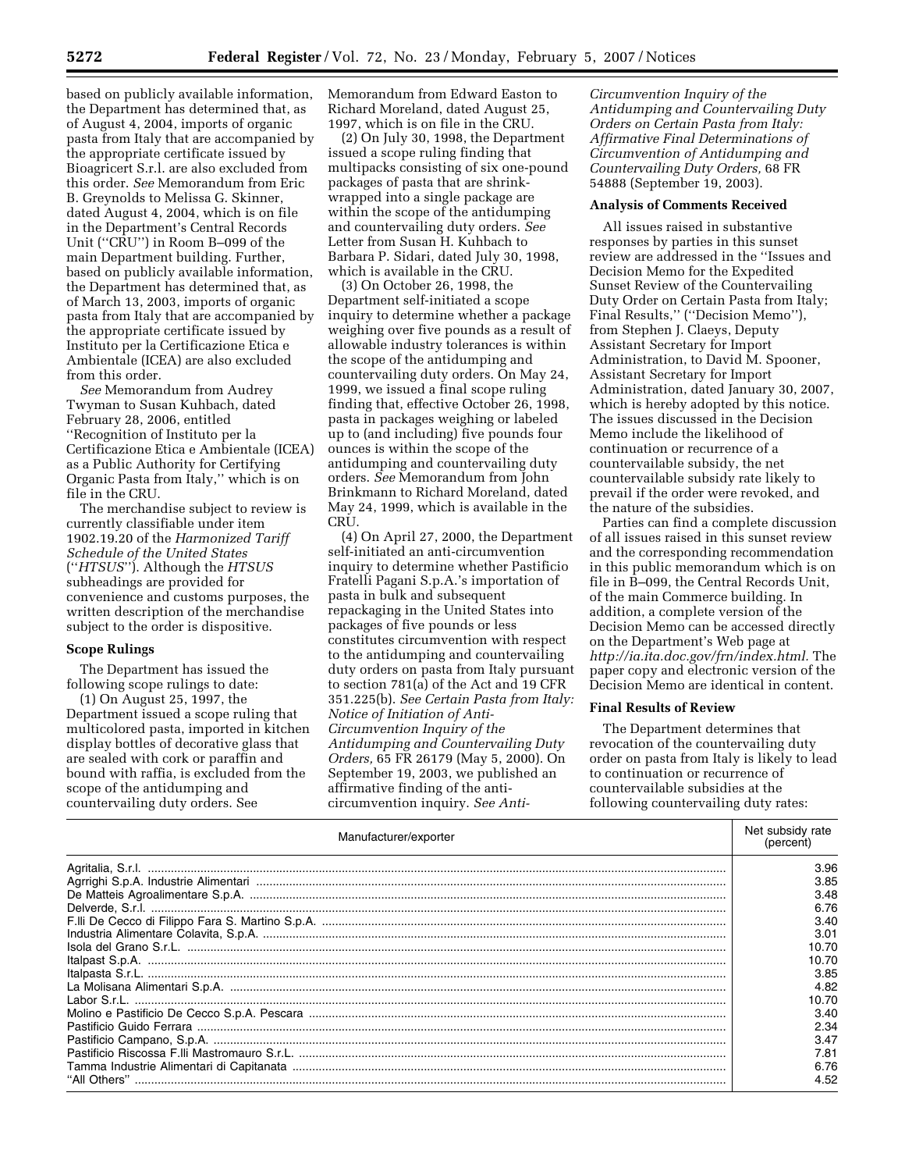based on publicly available information, the Department has determined that, as of August 4, 2004, imports of organic pasta from Italy that are accompanied by the appropriate certificate issued by Bioagricert S.r.l. are also excluded from this order. *See* Memorandum from Eric B. Greynolds to Melissa G. Skinner, dated August 4, 2004, which is on file in the Department's Central Records Unit (''CRU'') in Room B–099 of the main Department building. Further, based on publicly available information, the Department has determined that, as of March 13, 2003, imports of organic pasta from Italy that are accompanied by the appropriate certificate issued by Instituto per la Certificazione Etica e Ambientale (ICEA) are also excluded from this order.

*See* Memorandum from Audrey Twyman to Susan Kuhbach, dated February 28, 2006, entitled ''Recognition of Instituto per la Certificazione Etica e Ambientale (ICEA) as a Public Authority for Certifying Organic Pasta from Italy,'' which is on file in the CRU.

The merchandise subject to review is currently classifiable under item 1902.19.20 of the *Harmonized Tariff Schedule of the United States*  (''*HTSUS*''). Although the *HTSUS*  subheadings are provided for convenience and customs purposes, the written description of the merchandise subject to the order is dispositive.

#### **Scope Rulings**

The Department has issued the following scope rulings to date:

(1) On August 25, 1997, the Department issued a scope ruling that multicolored pasta, imported in kitchen display bottles of decorative glass that are sealed with cork or paraffin and bound with raffia, is excluded from the scope of the antidumping and countervailing duty orders. See

Memorandum from Edward Easton to Richard Moreland, dated August 25, 1997, which is on file in the CRU.

(2) On July 30, 1998, the Department issued a scope ruling finding that multipacks consisting of six one-pound packages of pasta that are shrinkwrapped into a single package are within the scope of the antidumping and countervailing duty orders. *See*  Letter from Susan H. Kuhbach to Barbara P. Sidari, dated July 30, 1998, which is available in the CRU.

(3) On October 26, 1998, the Department self-initiated a scope inquiry to determine whether a package weighing over five pounds as a result of allowable industry tolerances is within the scope of the antidumping and countervailing duty orders. On May 24, 1999, we issued a final scope ruling finding that, effective October 26, 1998, pasta in packages weighing or labeled up to (and including) five pounds four ounces is within the scope of the antidumping and countervailing duty orders. *See* Memorandum from John Brinkmann to Richard Moreland, dated May 24, 1999, which is available in the CRU.

(4) On April 27, 2000, the Department self-initiated an anti-circumvention inquiry to determine whether Pastificio Fratelli Pagani S.p.A.'s importation of pasta in bulk and subsequent repackaging in the United States into packages of five pounds or less constitutes circumvention with respect to the antidumping and countervailing duty orders on pasta from Italy pursuant to section 781(a) of the Act and 19 CFR 351.225(b). *See Certain Pasta from Italy: Notice of Initiation of Anti-Circumvention Inquiry of the Antidumping and Countervailing Duty Orders,* 65 FR 26179 (May 5, 2000). On September 19, 2003, we published an affirmative finding of the anticircumvention inquiry. *See Anti-*

*Circumvention Inquiry of the Antidumping and Countervailing Duty Orders on Certain Pasta from Italy: Affirmative Final Determinations of Circumvention of Antidumping and Countervailing Duty Orders,* 68 FR 54888 (September 19, 2003).

#### **Analysis of Comments Received**

All issues raised in substantive responses by parties in this sunset review are addressed in the ''Issues and Decision Memo for the Expedited Sunset Review of the Countervailing Duty Order on Certain Pasta from Italy; Final Results,'' (''Decision Memo''), from Stephen J. Claeys, Deputy Assistant Secretary for Import Administration, to David M. Spooner, Assistant Secretary for Import Administration, dated January 30, 2007, which is hereby adopted by this notice. The issues discussed in the Decision Memo include the likelihood of continuation or recurrence of a countervailable subsidy, the net countervailable subsidy rate likely to prevail if the order were revoked, and the nature of the subsidies.

Parties can find a complete discussion of all issues raised in this sunset review and the corresponding recommendation in this public memorandum which is on file in B–099, the Central Records Unit, of the main Commerce building. In addition, a complete version of the Decision Memo can be accessed directly on the Department's Web page at *http://ia.ita.doc.gov/frn/index.html.* The paper copy and electronic version of the Decision Memo are identical in content.

# **Final Results of Review**

The Department determines that revocation of the countervailing duty order on pasta from Italy is likely to lead to continuation or recurrence of countervailable subsidies at the following countervailing duty rates:

| Manufacturer/exporter |       |
|-----------------------|-------|
|                       | 3.96  |
|                       | 3.85  |
|                       | 3.48  |
|                       | 6.76  |
|                       | 3.40  |
|                       | 3.01  |
|                       | 10.70 |
|                       | 10.70 |
|                       | 3.85  |
|                       | 4.82  |
|                       | 10.70 |
|                       | 3.40  |
|                       | 2.34  |
|                       | 3.47  |
|                       | 7.81  |
|                       | 6.76  |
|                       | 4.52  |